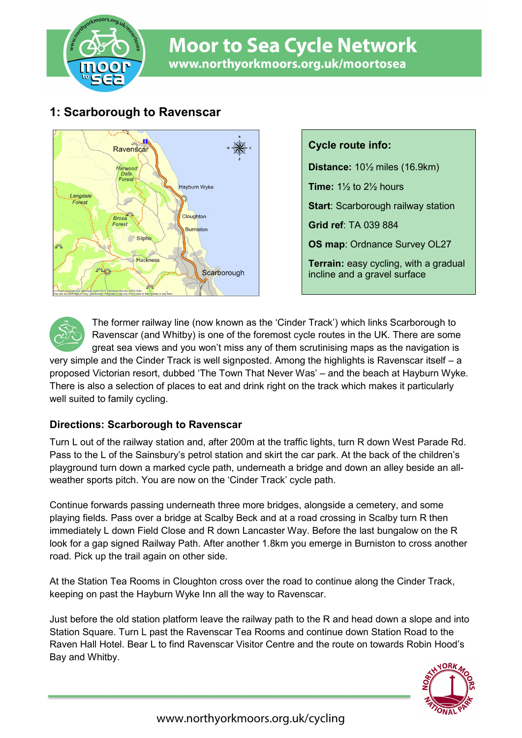

# **Moor to Sea Cycle Network** www.northyorkmoors.org.uk/moortosea

# **1: Scarborough to Ravenscar**



**Cycle route info: Distance:** 10½ miles (16.9km) **Time:** 1½ to 2½ hours **Start: Scarborough railway station Grid ref**: TA 039 884 **OS map**: Ordnance Survey OL27 **Terrain:** easy cycling, with a gradual incline and a gravel surface



The former railway line (now known as the 'Cinder Track') which links Scarborough to Ravenscar (and Whitby) is one of the foremost cycle routes in the UK. There are some great sea views and you won't miss any of them scrutinising maps as the navigation is

very simple and the Cinder Track is well signposted. Among the highlights is Ravenscar itself – a proposed Victorian resort, dubbed 'The Town That Never Was' – and the beach at Hayburn Wyke. There is also a selection of places to eat and drink right on the track which makes it particularly well suited to family cycling.

### **Directions: Scarborough to Ravenscar**

Turn L out of the railway station and, after 200m at the traffic lights, turn R down West Parade Rd. Pass to the L of the Sainsbury's petrol station and skirt the car park. At the back of the children's playground turn down a marked cycle path, underneath a bridge and down an alley beside an allweather sports pitch. You are now on the 'Cinder Track' cycle path.

Continue forwards passing underneath three more bridges, alongside a cemetery, and some playing fields. Pass over a bridge at Scalby Beck and at a road crossing in Scalby turn R then immediately L down Field Close and R down Lancaster Way. Before the last bungalow on the R look for a gap signed Railway Path. After another 1.8km you emerge in Burniston to cross another road. Pick up the trail again on other side.

At the Station Tea Rooms in Cloughton cross over the road to continue along the Cinder Track, keeping on past the Hayburn Wyke Inn all the way to Ravenscar.

Just before the old station platform leave the railway path to the R and head down a slope and into Station Square. Turn L past the Ravenscar Tea Rooms and continue down Station Road to the Raven Hall Hotel. Bear L to find Ravenscar Visitor Centre and the route on towards Robin Hood's Bay and Whitby.